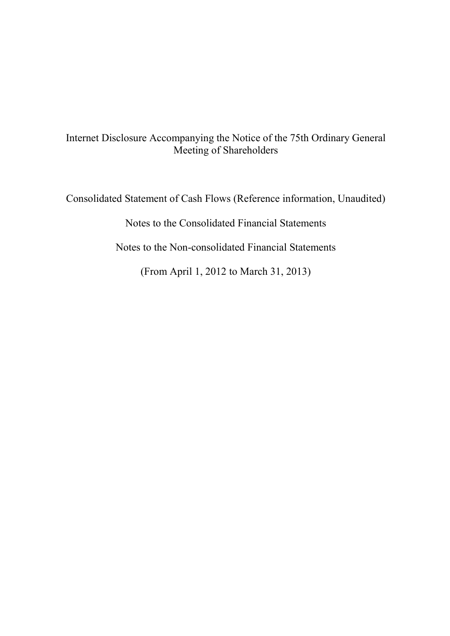# Internet Disclosure Accompanying the Notice of the 75th Ordinary General Meeting of Shareholders

Consolidated Statement of Cash Flows (Reference information, Unaudited)

Notes to the Consolidated Financial Statements

Notes to the Non-consolidated Financial Statements

(From April 1, 2012 to March 31, 2013)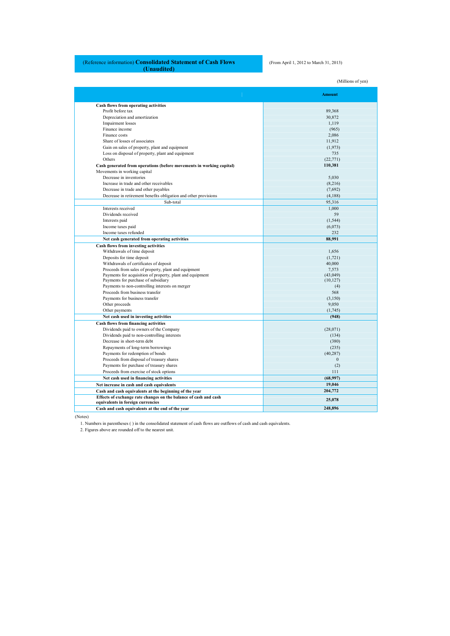# (Reference information) **Consolidated Statement of Cash Flows (Unaudited)**

(From April 1, 2012 to March 31, 2013)

(Millions of yen)

**Amount Cash flows from operating activities** Profit before tax 89,368 Depreciation and amortization 30,872 Impairment losses 1,119 Impairment losses and the contract of the contract of the contract of the contract of the contract of the contract of the contract of the contract of the contract of the contract of the contract of the contract of the cont Finance income (965)<br>
Finance costs 2,086 Finance costs Share of losses of associates 11,912<br>
Gain on sales of property, plant and equipment (1,973)<br>
(1,973) Gain on sales of property, plant and equipment (1,973) (1,973) (1,973) (1,973) Others  $(22,771)$ **Cash generated from operations (before movements in working capital) 110,381** Movements in working capital Decrease in inventories 5,030 Increase in trade and other receivables (8,216)<br>Decrease in trade and other navables (7,692) Decrease in trade and other payables (7,692)<br>Decrease in retirement benefits obligation and other provisions (4,188)<br>(4,188) Decrease in retirement benefits obligation and other provisions Sub-total 95,316 Interests received 1,000<br>Dividends received 59 Dividends received 59<br>Interests paid (1,544) Interests paid (1,544) (1,546) (1,546) (1,546) (1,546) (1,546) (1,546) (1,546) (1,546) (1,649) (1,649) (1,649) (1,649) (1,649) (1,649) (1,649) (1,649) (1,649) (1,649) (1,649) (1,649) (1,649) (1,649) (1,649) (1,649) (1,649) Income taxes paid Income taxes refunded 232 **Net cash generated from operating activities 88,991 88,991 Cash flows from investing activities**  Withdrawals of time deposit 1,656 Deposits for time deposit (1,721)<br>Withdrawals of certificates of deposit (1,721)<br>
40,000 Withdrawals of certificates of deposit 40,000<br>
Proceeds from sales of property, plant and equipment 7,573 Proceeds from sales of property, plant and equipment  $\frac{7,573}{1,400}$ Payments for acquisition of property, plant and equipment (43,049) (43,049) (10,127) (10,127) Payments to non-controlling interests on merger (4)<br>Proceeds from business transfer (4) Proceeds from business transfer Payments for business transfer (3,150) Other proceeds 9,050<br>
Other payments (1.745) Other payments **Net cash used in investing activities (948) Cash flows from financing activities**  Dividends paid to owners of the Company (28,071) (28,071) (28,071) (28,071) Dividends paid to non-controlling interests (134) (380) (380) Decrease in short-term debt (380)<br>
Repayments of long-term borrowings (235)<br>
(235) Repayments of long-term borrowings (235) (235) (236) (40,287) Payments for redemption of bonds Proceeds from disposal of treasury shares  $0$ Payments for purchase of treasury shares (2)  $\blacksquare$  (2)  $\blacksquare$  (2)  $\blacksquare$  (2)  $\blacksquare$  (2)  $\blacksquare$  (2)  $\blacksquare$  (2)  $\blacksquare$  (2)  $\blacksquare$  (2)  $\blacksquare$  (1)  $\blacksquare$  (2)  $\blacksquare$  (1)  $\blacksquare$  (2)  $\blacksquare$  (1)  $\blacksquare$  (2)  $\blacksquare$  (1)  $\blacksquare$  (2) Proceeds from exercise of stock options 111<br>
Net cash used in financing activities (68.997) **Net cash used in financing activities Net increase in cash and cash equivalents** 19,046<br> **Cash and cash equivalents at the heginning of the year** 204-772 **Cash and cash equivalents at the beginning of the year Effects of exchange rate changes on the balance of cash and cash**  Effects of exchange rate changes on the balance of cash and cash<br> **equivalents in foreign currencies** 25,078<br> **248,896**<br> **248,896**<br> **248,896** Cash and cash equivalents at the end of the year

(Notes)

1. Numbers in parentheses ( ) in the consolidated statement of cash flows are outflows of cash and cash equivalents.

2. Figures above are rounded off to the nearest unit.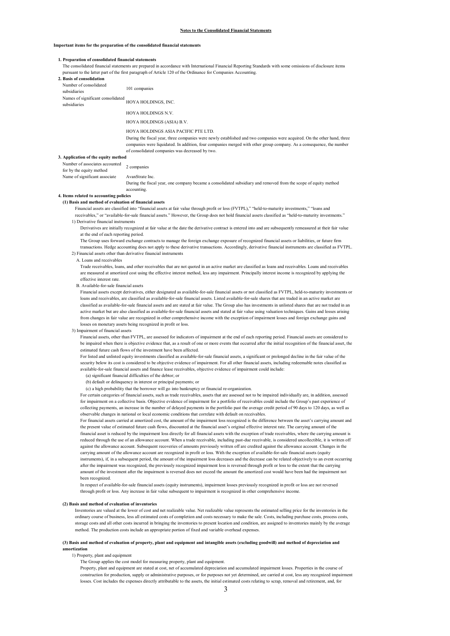## **Important items for the preparation of the consolidated financial statements**

## **1. Preparation of consolidated financial statements**

The consolidated financial statements are prepared in accordance with International Financial Reporting Standards with some omissions of disclosure items pursuant to the latter part of the first paragraph of Article 120 of the Ordinance for Companies Accounting.

| 2. Basis of consolidation                                  |                                                                                                                                                                                                                                                  |
|------------------------------------------------------------|--------------------------------------------------------------------------------------------------------------------------------------------------------------------------------------------------------------------------------------------------|
| Number of consolidated<br>subsidiaries                     | 101 companies                                                                                                                                                                                                                                    |
| Names of significant consolidated<br>subsidiaries          | HOYA HOLDINGS, INC.                                                                                                                                                                                                                              |
|                                                            | HOYA HOLDINGS N.V.                                                                                                                                                                                                                               |
|                                                            | HOYA HOLDINGS (ASIA) B.V.                                                                                                                                                                                                                        |
|                                                            | HOYA HOLDINGS ASIA PACIFIC PTE LTD.                                                                                                                                                                                                              |
|                                                            | During the fiscal year, three companies were newly established and two companies were acquired. On the other hand, three<br>companies were liquidated. In addition, four companies merged with other group company. As a consequence, the number |
| 3. Application of the equity method                        | of consolidated companies was decreased by two.                                                                                                                                                                                                  |
|                                                            |                                                                                                                                                                                                                                                  |
| Number of associates accounted<br>for by the equity method | 2 companies                                                                                                                                                                                                                                      |
| Name of significant associate                              | AvanStrate Inc.                                                                                                                                                                                                                                  |
|                                                            | During the fiscal year, one company became a consolidated subsidiary and removed from the scope of equity method<br>accounting.                                                                                                                  |

#### **4. Items related to accounting policies**

#### **(1) Basis and method of evaluation of financial assets**

Financial assets are classified into "financial assets at fair value through profit or loss (FVTPL)," "held-to-maturity investments," "loans and receivables," or "available-for-sale financial assets." However, the Group does not hold financial assets classified as "held-to-maturity investments."

## 1) Derivative financial instruments

Derivatives are initially recognized at fair value at the date the derivative contract is entered into and are subsequently remeasured at their fair value at the end of each reporting period.

The Group uses forward exchange contracts to manage the foreign exchange exposure of recognized financial assets or liabilities, or future firm transactions. Hedge accounting does not apply to these derivative transactions. Accordingly, derivative financial instruments are classified as FVTPL. 2) Financial assets other than derivative financial instruments

#### A. Loans and receivables

Trade receivables, loans, and other receivables that are not quoted in an active market are classified as loans and receivables. Loans and receivables are measured at amortized cost using the effective interest method, less any impairment. Principally interest income is recognized by applying the effective interest rate.

#### B. Available-for-sale financial assets

Financial assets except derivatives, either designated as available-for-sale financial assets or not classified as FVTPL, held-to-maturity investments or loans and receivables, are classified as available-for-sale financial assets. Listed available-for-sale shares that are traded in an active market are classified as available-for-sale financial assets and are stated at fair value. The Group also has investments in unlisted shares that are not traded in an active market but are also classified as available-for-sale financial assets and stated at fair value using valuation techniques. Gains and losses arising from changes in fair value are recognized in other comprehensive income with the exception of impairment losses and foreign exchange gains and losses on monetary assets being recognized in profit or loss.

#### 3) Impairment of financial assets

Financial assets, other than FVTPL, are assessed for indicators of impairment at the end of each reporting period. Financial assets are considered to be impaired when there is objective evidence that, as a result of one or more events that occurred after the initial recognition of the financial asset, the estimated future cash flows of the investment have been affected.

For listed and unlisted equity investments classified as available-for-sale financial assets, a significant or prolonged decline in the fair value of the security below its cost is considered to be objective evidence of impairment. For all other financial assets, including redeemable notes classified as available-for-sale financial assets and finance lease receivables, objective evidence of impairment could include:

- (a) significant financial difficulties of the debtor; or
- (b) default or delinquency in interest or principal payments; or

(c) a high probability that the borrower will go into bankruptcy or financial re-organization.

For certain categories of financial assets, such as trade receivables, assets that are assessed not to be impaired individually are, in addition, assessed for impairment on a collective basis. Objective evidence of impairment for a portfolio of receivables could include the Group's past experience of collecting payments, an increase in the number of delayed payments in the portfolio past the average credit period of 90 days to 120 days, as well as observable changes in national or local economic conditions that correlate with default on receivables.

For financial assets carried at amortized cost, the amount of the impairment loss recognized is the difference between the asset's carrying amount and the present value of estimated future cash flows, discounted at the financial asset's original effective interest rate. The carrying amount of the financial asset is reduced by the impairment loss directly for all financial assets with the exception of trade receivables, where the carrying amount is reduced through the use of an allowance account. When a trade receivable, including past-due receivable, is considered uncollectible, it is written off against the allowance account. Subsequent recoveries of amounts previously written off are credited against the allowance account. Changes in the carrying amount of the allowance account are recognized in profit or loss. With the exception of available-for-sale financial assets (equity instruments), if, in a subsequent period, the amount of the impairment loss decreases and the decrease can be related objectively to an event occurring after the impairment was recognized, the previously recognized impairment loss is reversed through profit or loss to the extent that the carrying amount of the investment after the impairment is reversed does not exceed the amount the amortized cost would have been had the impairment not been recognized.

In respect of available-for-sale financial assets (equity instruments), impairment losses previously recognized in profit or loss are not reversed through profit or loss. Any increase in fair value subsequent to impairment is recognized in other comprehensive income.

#### **(2) Basis and method of evaluation of inventories**

Inventories are valued at the lower of cost and net realizable value. Net realizable value represents the estimated selling price for the inventories in the ordinary course of business, less all estimated costs of completion and costs necessary to make the sale. Costs, including purchase costs, process costs, storage costs and all other costs incurred in bringing the inventories to present location and condition, are assigned to inventories mainly by the average method. The production costs include an appropriate portion of fixed and variable overhead expenses.

#### **(3) Basis and method of evaluation of property, plant and equipment and intangible assets (excluding goodwill) and method of depreciation and amortization**

#### 1) Property, plant and equipment

The Group applies the cost model for measuring property, plant and equipment.

Property, plant and equipment are stated at cost, net of accumulated depreciation and accumulated impairment losses. Properties in the course of construction for production, supply or administrative purposes, or for purposes not yet determined, are carried at cost, less any recognized impairment losses. Cost includes the expenses directly attributable to the assets, the initial estimated costs relating to scrap, removal and retirement, and, for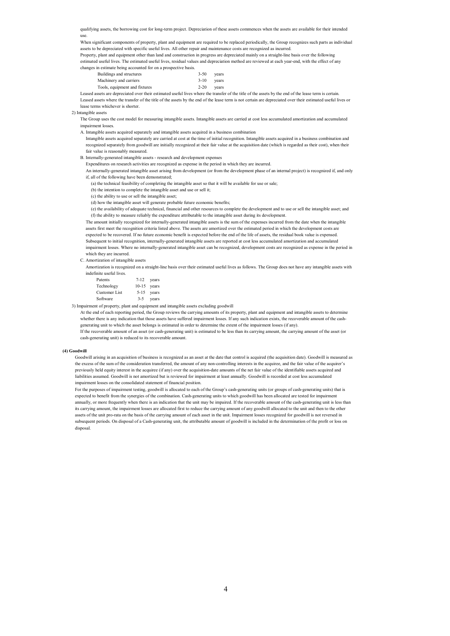qualifying assets, the borrowing cost for long-term project. Depreciation of these assets commences when the assets are available for their intended use.

When significant components of property, plant and equipment are required to be replaced periodically, the Group recognizes such parts as individual assets to be depreciated with specific useful lives. All other repair and maintenance costs are recognized as incurred.

Property, plant and equipment other than land and construction in progress are depreciated mainly on a straight-line basis over the following estimated useful lives. The estimated useful lives, residual values and depreciation method are reviewed at each year-end, with the effect of any changes in estimate being accounted for on a prospective basis.

| Buildings and structures           | $3 - 50$ | vears |
|------------------------------------|----------|-------|
| Machinery and carriers<br>$3 - 10$ |          | vears |
| Tools, equipment and fixtures      | $2 - 20$ | vears |

Leased assets are depreciated over their estimated useful lives where the transfer of the title of the assets by the end of the lease term is certain. Leased assets where the transfer of the title of the assets by the end of the lease term is not certain are depreciated over their estimated useful lives or lease terms whichever is shorter.

2) Intangible assets

The Group uses the cost model for measuring intangible assets. Intangible assets are carried at cost less accumulated amortization and accumulated impairment losses.

A. Intangible assets acquired separately and intangible assets acquired in a business combination

- Intangible assets acquired separately are carried at cost at the time of initial recognition. Intangible assets acquired in a business combination and recognized separately from goodwill are initially recognized at their fair value at the acquisition date (which is regarded as their cost), when their fair value is reasonably measured.
- B. Internally-generated intangible assets research and development expenses
	- Expenditures on research activities are recognized as expense in the period in which they are incurred.
- An internally-generated intangible asset arising from development (or from the development phase of an internal project) is recognized if, and only if, all of the following have been demonstrated;
	- (a) the technical feasibility of completing the intangible asset so that it will be available for use or sale;
	- (b) the intention to complete the intangible asset and use or sell it;
	- (c) the ability to use or sell the intangible asset;
	- (d) how the intangible asset will generate probable future economic benefits;
- (e) the availability of adequate technical, financial and other resources to complete the development and to use or sell the intangible asset; and (f) the ability to measure reliably the expenditure attributable to the intangible asset during its development.

The amount initially recognized for internally-generated intangible assets is the sum of the expenses incurred from the date when the intangible assets first meet the recognition criteria listed above. The assets are amortized over the estimated period in which the development costs are expected to be recovered. If no future economic benefit is expected before the end of the life of assets, the residual book value is expensed. Subsequent to initial recognition, internally-generated intangible assets are reported at cost less accumulated amortization and accumulated impairment losses. Where no internally-generated intangible asset can be recognized, development costs are recognized as expense in the period in which they are incurred.

C. Amortization of intangible assets

Amortization is recognized on a straight-line basis over their estimated useful lives as follows. The Group does not have any intangible assets with indefinite useful lives.

| Patents              | $7 - 12$      | years |
|----------------------|---------------|-------|
| Technology           | $10-15$ years |       |
| <b>Customer List</b> | 5-15          | years |
| Software             | $3 - 5$       | vears |

3) Impairment of property, plant and equipment and intangible assets excluding goodwill

At the end of each reporting period, the Group reviews the carrying amounts of its property, plant and equipment and intangible assets to determine whether there is any indication that those assets have suffered impairment losses. If any such indication exists, the recoverable amount of the cashgenerating unit to which the asset belongs is estimated in order to determine the extent of the impairment losses (if any).

If the recoverable amount of an asset (or cash-generating unit) is estimated to be less than its carrying amount, the carrying amount of the asset (or cash-generating unit) is reduced to its recoverable amount.

#### **(4) Goodwill**

Goodwill arising in an acquisition of business is recognized as an asset at the date that control is acquired (the acquisition date). Goodwill is measured as the excess of the sum of the consideration transferred, the amount of any non-controlling interests in the acquiree, and the fair value of the acquirer's previously held equity interest in the acquiree (if any) over the acquisition-date amounts of the net fair value of the identifiable assets acquired and liabilities assumed. Goodwill is not amortized but is reviewed for impairment at least annually. Goodwill is recorded at cost less accumulated impairment losses on the consolidated statement of financial position.

For the purposes of impairment testing, goodwill is allocated to each of the Group's cash-generating units (or groups of cash-generating units) that is expected to benefit from the synergies of the combination. Cash-generating units to which goodwill has been allocated are tested for impairment annually, or more frequently when there is an indication that the unit may be impaired. If the recoverable amount of the cash-generating unit is less than its carrying amount, the impairment losses are allocated first to reduce the carrying amount of any goodwill allocated to the unit and then to the other assets of the unit pro-rata on the basis of the carrying amount of each asset in the unit. Impairment losses recognized for goodwill is not reversed in subsequent periods. On disposal of a Cash-generating unit, the attributable amount of goodwill is included in the determination of the profit or loss on disposal.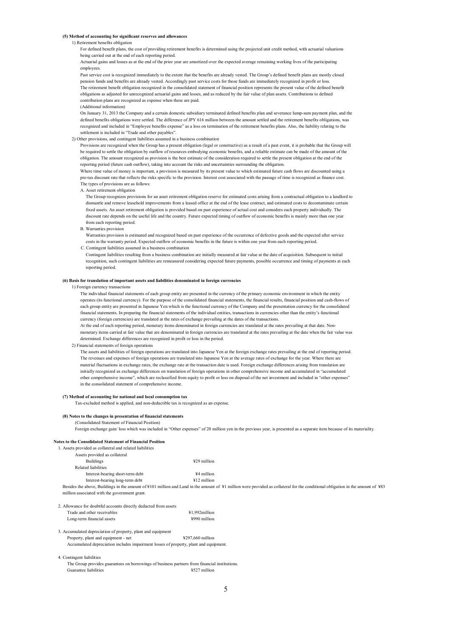## **(5) Method of accounting for significant reserves and allowances**

#### 1) Retirement benefits obligation

For defined benefit plans, the cost of providing retirement benefits is determined using the projected unit credit method, with actuarial valuations being carried out at the end of each reporting period.

Actuarial gains and losses as at the end of the prior year are amortized over the expected average remaining working lives of the participating employees.

Past service cost is recognized immediately to the extent that the benefits are already vested. The Group's defined benefit plans are mostly closed pension funds and benefits are already vested. Accordingly past service costs for those funds are immediately recognized in profit or loss. The retirement benefit obligation recognized in the consolidated statement of financial position represents the present value of the defined benefit obligations as adjusted for unrecognized actuarial gains and losses, and as reduced by the fair value of plan assets. Contributions to defined contribution plans are recognized as expense when these are paid.

## (Additional information)

On January 31, 2013 the Company and a certain domestic subsidiary terminated defined benefits plan and severance lump-sum payment plan, and the defined benefits obligations were settled. The difference of JPY 616 million between the amount settled and the retirement benefits obligations, was recognized and included in "Employee benefits expense" as a loss on termination of the retirement benefits plans. Also, the liability relating to the settlement is included in "Trade and other payables".

#### 2) Other provisions, and contingent liabilities assumed in a business combination

Provisions are recognized when the Group has a present obligation (legal or constructive) as a result of a past event, it is probable that the Group will be required to settle the obligation by outflow of resources embodying economic benefits, and a reliable estimate can be made of the amount of the obligation. The amount recognized as provision is the best estimate of the consideration required to settle the present obligation at the end of the reporting period (future cash outflow), taking into account the risks and uncertainties surrounding the obligation.

Where time value of money is important, a provision is measured by its present value to which estimated future cash flows are discounted using a pre-tax discount rate that reflects the risks specific to the provision. Interest cost associated with the passage of time is recognized as finance cost. The types of provisions are as follows:

A. Asset retirement obligation

 The Group recognizes provisions for an asset retirement obligation reserve for estimated costs arising from a contractual obligation to a landlord to dismantle and remove leasehold improvements from a leased office at the end of the lease contract, and estimated costs to decontaminate certain fixed assets. An asset retirement obligation is provided based on past experience of actual cost and considers each property individually. The discount rate depends on the useful life and the country. Future expected timing of outflow of economic benefits is mainly more than one year from each reporting period.

#### B. Warranties provision

Warranties provision is estimated and recognized based on past experience of the occurrence of defective goods and the expected after service costs in the warranty period. Expected outflow of economic benefits in the future is within one year from each reporting period.

C. Contingent liabilities assumed in a business combination

Contingent liabilities resulting from a business combination are initially measured at fair value at the date of acquisition. Subsequent to initial recognition, such contingent liabilities are remeasured considering expected future payments, possible occurrence and timing of payments at each reporting period.

# **(6) Basis for translation of important assets and liabilities denominated in foreign currencies**

#### 1) Foreign currency transactions

The individual financial statements of each group entity are presented in the currency of the primary economic environment in which the entity operates (its functional currency). For the purpose of the consolidated financial statements, the financial results, financial position and cash-flows of each group entity are presented in Japanese Yen which is the functional currency of the Company and the presentation currency for the consolidated financial statements. In preparing the financial statements of the individual entities, transactions in currencies other than the entity's functional currency (foreign currencies) are translated at the rates of exchange prevailing at the dates of the transactions.

At the end of each reporting period, monetary items denominated in foreign currencies are translated at the rates prevailing at that date. Nonmonetary items carried at fair value that are denominated in foreign currencies are translated at the rates prevailing at the date when the fair value was determined. Exchange differences are recognized in profit or loss in the period.

#### 2) Financial statements of foreign operations

The assets and liabilities of foreign operations are translated into Japanese Yen at the foreign exchange rates prevailing at the end of reporting period. The revenues and expenses of foreign operations are translated into Japanese Yen at the average rates of exchange for the year. Where there are material fluctuations in exchange rates, the exchange rate at the transaction date is used. Foreign exchange differences arising from translation are initially recognized as exchange differences on translation of foreign operations in other comprehensive income and accumulated in "accumulated other comprehensive income", which are reclassified from equity to profit or loss on disposal of the net investment and included in "other expenses" in the consolidated statement of comprehensive income.

#### **(7) Method of accounting for national and local consumption tax**

Tax-excluded method is applied, and non-deductible tax is recognized as an expense.

#### **(8) Notes to the changes in presentation of financial statements**

## (Consolidated Statement of Financial Position)

Foreign exchange gain/ loss which was included in "Other expenses" of 20 million yen in the previous year, is presented as a separate item because of its materiality.

#### **Notes to the Consolidated Statement of Financial Position**

1. Assets provided as collateral and related liabilities

| Assets provided as collateral                 |                                                                                                                                                                                 |  |
|-----------------------------------------------|---------------------------------------------------------------------------------------------------------------------------------------------------------------------------------|--|
| <b>Buildings</b>                              | ¥29 million                                                                                                                                                                     |  |
| Related liabilities                           |                                                                                                                                                                                 |  |
| Interest-bearing short-term debt              | ¥4 million                                                                                                                                                                      |  |
| Interest-bearing long-term debt               | ¥12 million                                                                                                                                                                     |  |
| million associated with the government grant. | Besides the above. Buildings in the amount of ¥101 million and Land in the amount of ¥1 million were provided as collateral for the conditional obligation in the amount of ¥83 |  |
|                                               |                                                                                                                                                                                 |  |

#### 2. Allowance for doubtful accounts directly deducted from assets

| Trade and other receivables | ¥1.992million |
|-----------------------------|---------------|
| Long-term financial assets  | ¥990 million  |

#### 3. Accumulated depreciation of property, plant and equipment Property, plant and equipment - net  $\frac{\text{y297,660}}{2}$  million Accumulated depreciation includes impairment losses of property, plant and equipment.

#### 4. Contingent liabilities

The Group provides guarantees on borrowings of business partners from financial institutions. Guarantee liabilities **¥527** million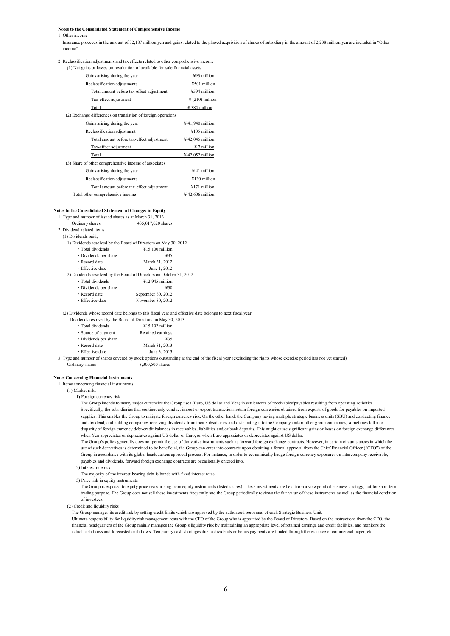**Notes to the Consolidated Statement of Comprehensive Income** 

#### 1. Other income

Insurance proceeds in the amount of 32,187 million yen and gains related to the phased acquisition of shares of subsidiary in the amount of 2,238 million yen are included in "Other income".

#### 2. Reclassification adjustments and tax effects related to other comprehensive income (1) Net gains or losses on revaluation of available-for-sale financial assets

| Gains arising during the year                                 | ¥93 million                  |
|---------------------------------------------------------------|------------------------------|
| Reclassification adjustments                                  | ¥501 million                 |
| Total amount before tax-effect adjustment                     | ¥594 million                 |
| Tax-effect adjustment                                         | $\frac{1}{2}$ (210) million  |
| Total                                                         | ¥ 384 million                |
| (2) Exchange differences on translation of foreign operations |                              |
| Gains arising during the year                                 | $\frac{1}{2}$ 41,940 million |
| Reclassification adjustment                                   | ¥105 million                 |
| Total amount before tax-effect adjustment                     | $\frac{1}{2}$ 42,045 million |
| Tax-effect adjustment                                         | ¥ 7 million                  |
| Total                                                         | $\frac{1}{2}$ 42,052 million |
| (3) Share of other comprehensive income of associates         |                              |
| Gains arising during the year                                 | ¥41 million                  |
| Reclassification adjustments                                  | ¥130 million                 |
| Total amount before tax-effect adjustment                     | ¥171 million                 |
| Total other comprehensive income                              | $\frac{1}{2}$ 42,606 million |

#### **Notes to the Consolidated Statement of Changes in Equity**

1. Type and number of issued shares as at M

| $\frac{1}{1}$ . Type and number of issued shares as at ividical $\frac{1}{2}$ , $\frac{1}{2}$ |                                                                     |
|-----------------------------------------------------------------------------------------------|---------------------------------------------------------------------|
| Ordinary shares                                                                               | 435,017,020 shares                                                  |
| 2. Dividend-related items                                                                     |                                                                     |
| (1) Dividends paid,                                                                           |                                                                     |
|                                                                                               | 1) Dividends resolved by the Board of Directors on May 30, 2012     |
| · Total dividends                                                                             | $415,100$ million                                                   |
| • Dividends per share                                                                         | ¥35                                                                 |
| · Record date                                                                                 | March 31, 2012                                                      |
| · Effective date                                                                              | June 1, 2012                                                        |
|                                                                                               | 2) Dividends resolved by the Board of Directors on October 31, 2012 |
| · Total dividends                                                                             | ¥12,945 million                                                     |
| · Dividends per share                                                                         | ¥30                                                                 |
| • Record date                                                                                 | September 30, 2012                                                  |
| • Effective date                                                                              | November 30, 2012                                                   |

(2) Dividends whose record date belongs to this fiscal year and effective date belongs to next fiscal year

Dividends resolved by the Board of Directors on May 30, 2013

| · Total dividends     | ¥15,102 million   |
|-----------------------|-------------------|
| · Source of payment   | Retained earnings |
| • Dividends per share | ¥35               |
| · Record date         | March 31, 2013    |
| · Effective date      | June 3, 2013      |
|                       |                   |

3. Type and number of shares covered by stock options outstanding at the end of the fiscal year (excluding the rights whose exercise period has not yet started)

Ordinary shares 3,300,500 shares

## **Notes Concerning Financial Instruments**

1. Items concerning financial instruments

(1) Market risks

1) Foreign currency risk

The Group intends to marry major currencies the Group uses (Euro, US dollar and Yen) in settlements of receivables/payables resulting from operating activities. Specifically, the subsidiaries that continuously conduct import or export transactions retain foreign currencies obtained from exports of goods for payables on imported supplies. This enables the Group to mitigate foreign currency risk. On the other hand, the Company having multiple strategic business units (SBU) and conducting finance and dividend, and holding companies receiving dividends from their subsidiaries and distributing it to the Company and/or other group companies, sometimes fall into disparity of foreign currency debt-credit balances in receivables, liabilities and/or bank deposits. This might cause significant gains or losses on foreign exchange differences when Yen appreciates or depreciates against US dollar or Euro, or when Euro appreciates or depreciates against US dollar.

The Group's policy generally does not permit the use of derivative instruments such as forward foreign exchange contracts. However, in certain circumstances in which the use of such derivatives is determined to be beneficial, the Group can enter into contracts upon obtaining a formal approval from the Chief Financial Officer ("CFO") of the Group in accordance with its global headquarters approval process. For instance, in order to economically hedge foreign currency exposures on intercompany receivable, payables and dividends, forward foreign exchange contracts are occasionally entered into.

2) Interest rate risk

The majority of the interest-bearing debt is bonds with fixed interest rates.

3) Price risk in equity instruments

The Group is exposed to equity price risks arising from equity instruments (listed shares). These investments are held from a viewpoint of business strategy, not for short term trading purpose. The Group does not sell these investments frequently and the Group periodically reviews the fair value of these instruments as well as the financial condition of investees.

(2) Credit and liquidity risks

The Group manages its credit risk by setting credit limits which are approved by the authorized personnel of each Strategic Business Unit.

Ultimate responsibility for liquidity risk management rests with the CFO of the Group who is appointed by the Board of Directors. Based on the instructions from the CFO, the financial headquarters of the Group mainly manages the Group's liquidity risk by maintaining an appropriate level of retained earnings and credit facilities, and monitors the actual cash flows and forecasted cash flows. Temporary cash shortages due to dividends or bonus payments are funded through the issuance of commercial paper, etc.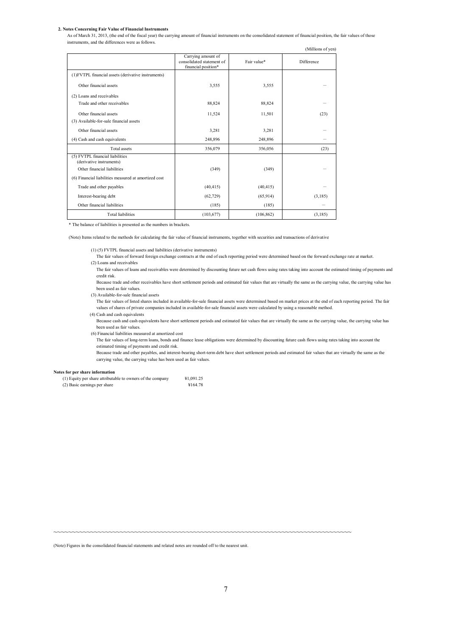## **2. Notes Concerning Fair Value of Financial Instruments**

As of March 31, 2013, (the end of the fiscal year) the carrying amount of financial instruments on the consolidated statement of financial position, the fair values of those instruments, and the differences were as follows.

|                                                             |                                                                        |             | (Millions of yen) |
|-------------------------------------------------------------|------------------------------------------------------------------------|-------------|-------------------|
|                                                             | Carrying amount of<br>consolidated statement of<br>financial position* | Fair value* | Difference        |
| (1) FVTPL financial assets (derivative instruments)         |                                                                        |             |                   |
| Other financial assets                                      | 3,555                                                                  | 3,555       |                   |
| (2) Loans and receivables                                   |                                                                        |             |                   |
| Trade and other receivables                                 | 88,824                                                                 | 88,824      |                   |
| Other financial assets                                      | 11,524                                                                 | 11,501      | (23)              |
| (3) Available-for-sale financial assets                     |                                                                        |             |                   |
| Other financial assets                                      | 3,281                                                                  | 3,281       |                   |
| (4) Cash and cash equivalents                               | 248,896                                                                | 248,896     |                   |
| <b>Total assets</b>                                         | 356,079                                                                | 356,056     | (23)              |
| (5) FVTPL financial liabilities<br>(derivative instruments) |                                                                        |             |                   |
| Other financial liabilities                                 | (349)                                                                  | (349)       |                   |
| (6) Financial liabilities measured at amortized cost        |                                                                        |             |                   |
| Trade and other payables                                    | (40, 415)                                                              | (40, 415)   |                   |
| Interest-bearing debt                                       | (62, 729)                                                              | (65, 914)   | (3, 185)          |
| Other financial liabilities                                 | (185)                                                                  | (185)       |                   |
| <b>Total liabilities</b>                                    | (103, 677)                                                             | (106, 862)  | (3,185)           |

\* The balance of liabilities is presented as the numbers in brackets.

(Note) Items related to the methods for calculating the fair value of financial instruments, together with securities and transactions of derivative

(1) (5) FVTPL financial assets and liabilities (derivative instruments)

- The fair values of forward foreign exchange contracts at the end of each reporting period were determined based on the forward exchange rate at market.
- (2) Loans and receivables

The fair values of loans and receivables were determined by discounting future net cash flows using rates taking into account the estimated timing of payments and credit risk.

Because trade and other receivables have short settlement periods and estimated fair values that are virtually the same as the carrying value, the carrying value has been used as fair values.

(3) Available-for-sale financial assets

The fair values of listed shares included in available-for-sale financial assets were determined based on market prices at the end of each reporting period. The fair values of shares of private companies included in available-for-sale financial assets were calculated by using a reasonable method.

(4) Cash and cash equivalents

Because cash and cash equivalents have short settlement periods and estimated fair values that are virtually the same as the carrying value, the carrying value has been used as fair values.

(6) Financial liabilities measured at amortized cost

The fair values of long-term loans, bonds and finance lease obligations were determined by discounting future cash flows using rates taking into account the estimated timing of payments and credit risk.

Because trade and other payables, and interest-bearing short-term debt have short settlement periods and estimated fair values that are virtually the same as the carrying value, the carrying value has been used as fair values.

#### **Notes for per share information**

| (1) Equity per share attributable to owners of the company | ¥1.091.25 |
|------------------------------------------------------------|-----------|
| (2) Basic earnings per share                               | ¥164.78   |

~~~~~~~~~~~~~~~~~~~~~~~~~~~~~~~~~~~~~~~~~~~~~~~~~~~~~~~~~~~~~~~~~~~~~~~~~~~~~~~~~

(Note) Figures in the consolidated financial statements and related notes are rounded off to the nearest unit.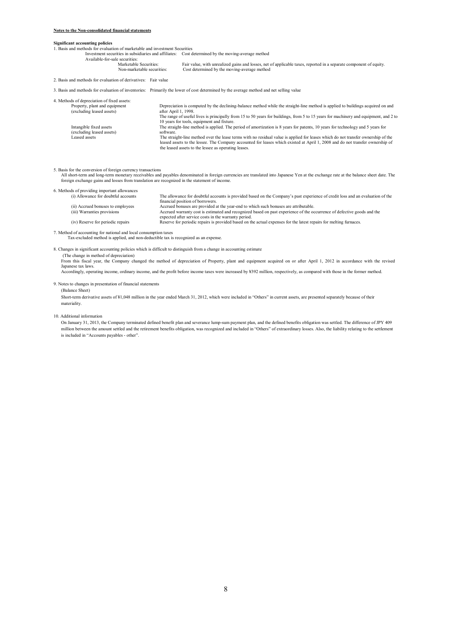## **Notes to the Non-consolidated financial statements**

## **Significant accounting policies**

1. Basis and methods for evaluation of marketable and investment Securities

Investment securities in subsidiaries and affiliates: Cost determined by the moving-average method

Available-for-sale securities:<br>Marketable Securities: Securities:<br>
Marketable Securities: Fair value, with unrealized gains and losses, net of applicable taxes, reported in a separate component of equity.<br>
Non-marketable securities: Cost determined by the moving-average metho

Tan Value, while almost<br>non-marketable securities: Cost determined by the moving-average method

2. Basis and methods for evaluation of derivatives: Fair value

3. Basis and methods for evaluation of inventories: Primarily the lower of cost determined by the average method and net selling value

| 4. Methods of depreciation of fixed assets:                |                                                                                                                                                                                                                                                                                                                            |
|------------------------------------------------------------|----------------------------------------------------------------------------------------------------------------------------------------------------------------------------------------------------------------------------------------------------------------------------------------------------------------------------|
| Property, plant and equipment<br>(excluding leased assets) | Depreciation is computed by the declining-balance method while the straight-line method is applied to buildings acquired on and<br>after April 1, 1998.                                                                                                                                                                    |
|                                                            | The range of useful lives is principally from 15 to 50 years for buildings, from 5 to 15 years for machinery and equipment, and 2 to<br>10 years for tools, equipment and fixture.                                                                                                                                         |
| Intangible fixed assets<br>(excluding leased assets)       | The straight-line method is applied. The period of amortization is 8 years for patents, 10 years for technology and 5 years for<br>software                                                                                                                                                                                |
| Leased assets                                              | The straight-line method over the lease terms with no residual value is applied for leases which do not transfer ownership of the<br>leased assets to the lessee. The Company accounted for leases which existed at April 1, 2008 and do not transfer ownership of<br>the leased assets to the lessee as operating leases. |

5. Basis for the conversion of foreign currency transactions

All short-term and long-term monetary receivables and payables denominated in foreign currencies are translated into Japanese Yen at the exchange rate at the balance sheet date. The<br>foreign exchange gains and losses from t

| 6. Methods of providing important allowances |                                                                                                                                |
|----------------------------------------------|--------------------------------------------------------------------------------------------------------------------------------|
| (i) Allowance for doubtful accounts          | The allowance for doubtful accounts is provided based on the Company's past experience of credit loss and an evaluation of the |
|                                              | financial position of borrowers.                                                                                               |
| (ii) Accrued bonuses to employees            | Accrued bonuses are provided at the year-end to which such bonuses are attributable.                                           |
| (iii) Warranties provisions                  | Accrued warranty cost is estimated and recognized based on past experience of the occurrence of defective goods and the        |
|                                              | expected after service costs in the warranty period.                                                                           |
| (iv) Reserve for periodic repairs            | Reserve for periodic repairs is provided based on the actual expenses for the latest repairs for melting furnaces.             |
|                                              |                                                                                                                                |

7. Method of accounting for national and local consumption taxes Tax-excluded method is applied, and non-deductible tax is recognized as an expense.

8. Changes in significant accounting policies which is difficult to distinguish from a change in accounting estimate (The change in method of depreciation) From this fiscal year, the Company changed the method of depreciation of Property, plant and equipment acquired on or after April 1, 2012 in accordance with the revised

Japanese tax laws. Accordingly, operating income, ordinary income, and the profit before income taxes were increased by ¥392 million, respectively, as compared with those in the former method.

9. Notes to changes in presentation of financial statements

# (Balance Sheet)

Short-term derivative assets of ¥1,048 million in the year ended March 31, 2012, which were included in "Others" in current assets, are presented separately because of their materiality.

10. Additional information

On January 31, 2013, the Company terminated defined benefit plan and severance lump-sum payment plan, and the defined benefits obligation was settled. The difference of JPY 409 million between the amount settled and the retirement benefits obligation, was recognized and included in "Others" of extraordinary losses. Also, the liability relating to the settlement is included in "Accounts payables - other".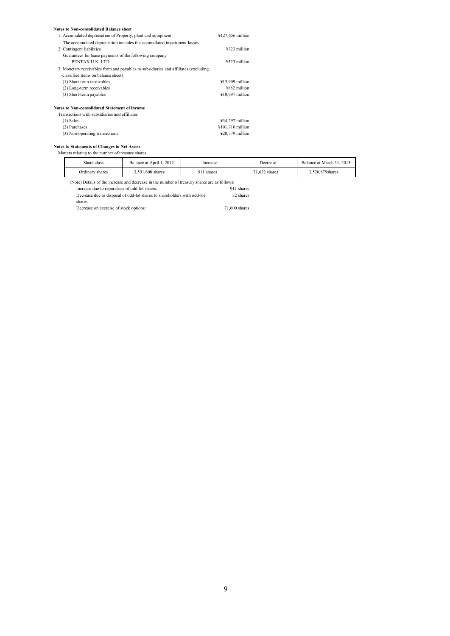#### **Notes to Non-consolidated Balance sheet**

| The accumulated depreciation includes the accumulated impairment losses.            | ¥323 million     |
|-------------------------------------------------------------------------------------|------------------|
|                                                                                     |                  |
| 2. Contingent liabilities                                                           |                  |
| Guarantees for lease payments of the following company                              |                  |
| PENTAX U.K. LTD.                                                                    | ¥323 million     |
| 3. Monetary receivables from and payables to subsidiaries and affiliates (excluding |                  |
| classified items on balance sheet)                                                  |                  |
| (1) Short-term receivables                                                          | ¥13,909 million  |
| (2) Long-term receivables                                                           | ¥882 million     |
| (3) Short-term payables                                                             | ¥10,997 million  |
| Notes to Non-consolidated Statement of income                                       |                  |
| Transactions with subsidiaries and affiliates                                       |                  |
| $(1)$ Sales                                                                         | ¥34,797 million  |
| (2) Purchases                                                                       | ¥101,716 million |
| (3) Non-operating transactions                                                      | ¥20,779 million  |

# **Notes to Statements of Changes in Net Assets**

# Matters relating to the number of treasury shares

| Share class                                                                                  | Balance at April 1, 2012                                                | Increase | Decrease      | Balance at March 31, 2013 |
|----------------------------------------------------------------------------------------------|-------------------------------------------------------------------------|----------|---------------|---------------------------|
| Ordinary shares                                                                              | 911 shares<br>3,591,600 shares                                          |          | 71.632 shares | 3,520,879 shares          |
| (Note) Details of the increase and decrease in the number of treasury shares are as follows: |                                                                         |          |               |                           |
| Increase due to repurchase of odd-lot shares:                                                |                                                                         |          | 911 shares    |                           |
|                                                                                              | Decrease due to disposal of odd-lot shares to shareholders with odd-lot |          | 32 shares     |                           |
| shares                                                                                       |                                                                         |          |               |                           |

Decrease on exercise of stock options: 71,600 shares